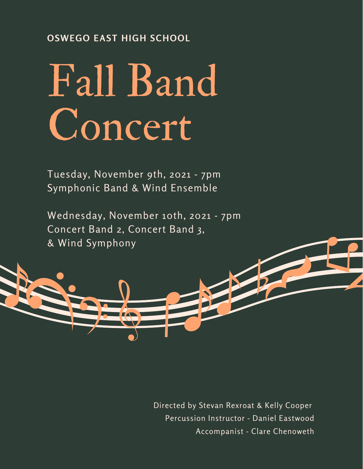## **OSWEGO EAST HIGH SCHOOL**

# Fall Band Concert

Tuesday, November 9th, 2021 - 7pm Symphonic Band & Wind Ensemble

Wednesday, November 10th, 2021 - 7pm Concert Band 2, Concert Band 3, & Wind Symphony

> Directed by Stevan Rexroat & Kelly Cooper Percussion Instructor - Daniel Eastwood Accompanist - Clare Chenoweth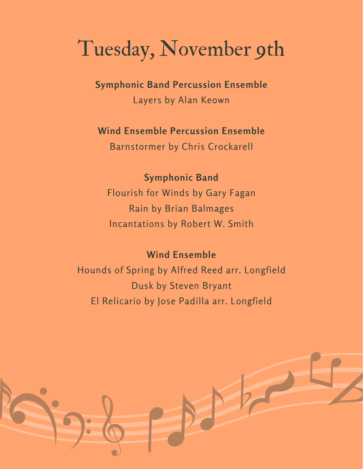# Tuesday, November 9th

**Symphonic Band Percussion Ensemble**

Layers by Alan Keown

## **Wind Ensemble Percussion Ensemble**

Barnstormer by Chris Crockarell

## **Symphonic Band**

Flourish for Winds by Gary Fagan Rain by Brian Balmages Incantations by Robert W. Smith

## **Wind Ensemble**

Hounds of Spring by Alfred Reed arr. Longfield Dusk by Steven Bryant El Relicario by Jose Padilla arr. Longfield

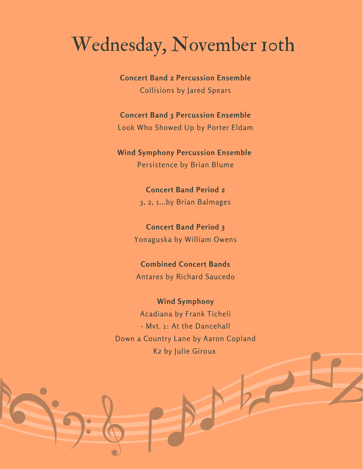# Wednesday, November 10th

**Concert Band 2 Percussion Ensemble** Collisions by Jared Spears

**Concert Band 3 Percussion Ensemble** Look Who Showed Up by Porter Eldam

**Wind Symphony Percussion Ensemble** Persistence by Brian Blume

> **Concert Band Period 2** 3, 2, 1...by Brian Balmages

**Concert Band Period 3** Yonaguska by William Owens

**Combined Concert Bands** Antares by Richard Saucedo

**Wind Symphony** Acadiana by Frank Ticheli - Mvt. 1: At the Dancehall Down a Country Lane by Aaron Copland K2 by Julie Giroux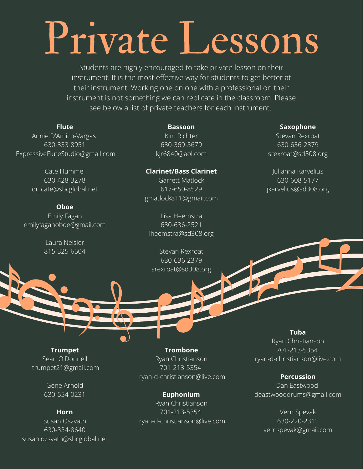# Private Lessons

Students are highly encouraged to take private lesson on their instrument. It is the most effective way for students to get better at their instrument. Working one on one with a professional on their instrument is not something we can replicate in the classroom. Please see below a list of private teachers for each instrument.

#### **Flute**

Annie D'Amico-Vargas 630-333-8951 ExpressiveFluteStudio@gmail.com

> Cate Hummel 630-428-3278 dr\_cate@sbcglobal.net

#### **Oboe**

Emily Fagan emilyfaganoboe@gmail.com

> Laura Neisler 815-325-6504

#### **Bassoon**

Kim Richter 630-369-5679 kjr6840@aol.com

#### **Clarinet/Bass Clarinet** Garrett Matlock

617-650-8529 gmatlock811@gmail.com

Lisa Heemstra 630-636-2521 [lheemstra@sd308.org](mailto:lheemstra@sd308.org)

Stevan Rexroat 630-636-2379 [srexroat@sd308.org](mailto:srexroat@sd308.org)

#### **Saxophone**

Stevan Rexroat 630-636-2379 [srexroat@sd308.org](mailto:srexroat@sd308.org)

Julianna Karvelius 630-608-5177 [jkarvelius@sd308.org](mailto:jkarvelius@sd308.org)

**Trumpet** Sean O'Donnell trumpet21@gmail.com

> Gene Arnold 630-554-0231

**Horn** Susan Oszvath 630-334-8640 susan.ozsvath@sbcglobal.net

**Trombone** Ryan Christianson 701-213-5354 ryan-d-christianson@live.com

**Euphonium** Ryan Christianson 701-213-5354 ryan-d-christianson@live.com **Tuba**

Ryan Christianson 701-213-5354 ryan-d-christianson@live.com

#### **Percussion**

Dan Eastwood deastwooddrums@gmail.com

Vern Spevak 630-220-2311 vernspevak@gmail.com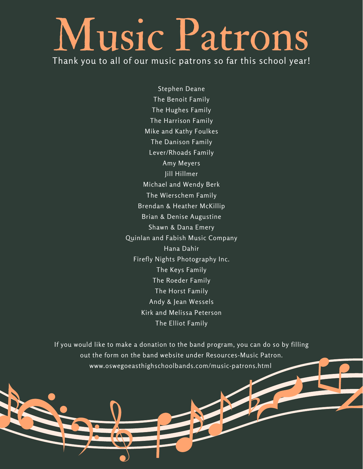# Music Patrons

Thank you to all of our music patrons so far this school year!

Stephen Deane The Benoit Family The Hughes Family The Harrison Family Mike and Kathy Foulkes The Danison Family Lever/Rhoads Family Amy Meyers Jill Hillmer Michael and Wendy Berk The Wierschem Family Brendan & Heather McKillip Brian & Denise Augustine Shawn & Dana Emery Quinlan and Fabish Music Company Hana Dahir Firefly Nights Photography Inc. The Keys Family The Roeder Family The Horst Family Andy & Jean Wessels Kirk and Melissa Peterson The Elliot Family

If you would like to make a donation to the band program, you can do so by filling out the form on the band website under Resources-Music Patron. www.oswegoeasthighschoolbands.com/music-patrons.html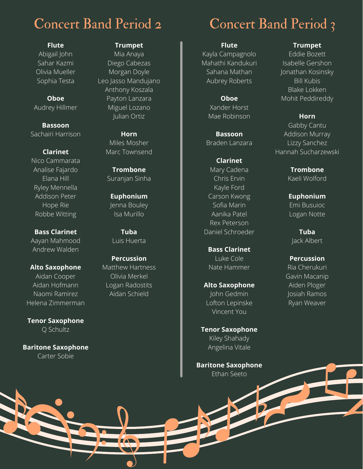# Concert Band Period 2

**Flute** Abigail John Sahar Kazmi Olivia Mueller Sophia Testa

**Oboe** Audrey Hillmer

**Bassoon** Sachairi Harrison

#### **Clarinet**

Nico Cammarata Analise Fajardo Elana Hill Ryley Mennella Addison Peter Hope Rie Robbe Witting

**Bass Clarinet** Aayan Mahmood Andrew Walden

**Alto Saxophone** Aidan Cooper Aidan Hofmann Naomi Ramirez Helena Zimmerman

**Tenor Saxophone** Q Schultz

**Baritone Saxophone** Carter Sobie

#### **Trumpet**

Mia Anaya Diego Cabezas Morgan Doyle Leo Jasso Mandujano Anthony Koszala Payton Lanzara Miguel Lozano Julian Ortiz

> **Horn** Miles Mosher Marc Townsend

**Trombone** Suranjan Sinha

**Euphonium** Jenna Bouley Isa Murillo

**Tuba** Luis Huerta

**Percussion** Matthew Hartness Olivia Merkel Logan Radostits Aidan Schield

# Concert Band Period 3

**Flute**

Kayla Campagnolo Mahathi Kandukuri Sahana Mathan Aubrey Roberts

> **Oboe** Xander Horst Mae Robinson

**Bassoon** Braden Lanzara

**Clarinet** Mary Cadena Chris Ervin Kayle Ford Carson Kwong Sofia Marin Aanika Patel Rex Peterson Daniel Schroeder

**Bass Clarinet** Luke Cole Nate Hammer

**Alto Saxophone** John Gedmin Lofton Lepinske Vincent You

**Tenor Saxophone** Kiley Shahady Angelina Vitale

**Baritone Saxophone** Ethan Seeto

#### **Trumpet**

Eddie Bozett Isabelle Gershon Jonathan Kosinsky Bill Kubis Blake Lokken Mohit Peddireddy

**Horn** Gabby Cantu Addison Murray Lizzy Sanchez Hannah Sucharzewski

> **Trombone** Kaeli Wolford

**Euphonium** Emi Busuioc Logan Notte

**Tuba** Jack Albert

**Percussion**

Ria Cherukuri Gavin Macanip Aiden Ploger Josiah Ramos Ryan Weaver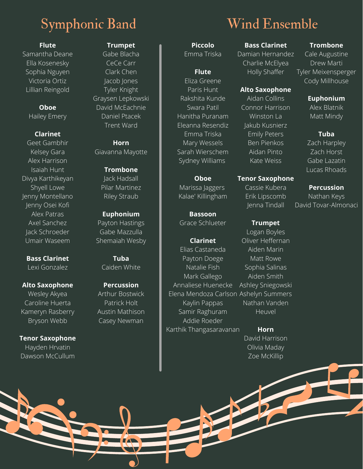# Symphonic Band Wind Ensemble

#### **Flute**

Samantha Deane Ella Kosenesky Sophia Nguyen Victoria Ortiz Lillian Reingold

#### **Oboe**

Hailey Emery

#### **Clarinet**

Geet Gambhir Kelsey Gara Alex Harrison Isaiah Hunt Divya Karthikeyan Shyell Lowe Jenny Montellano Jenny Osei Kofi Alex Patras Axel Sanchez Jack Schroeder Umair Waseem

**Bass Clarinet** Lexi Gonzalez

**Alto Saxophone** Wesley Akyea Caroline Huerta Kameryn Rasberry Bryson Webb

**Tenor Saxophone** Hayden Hrvatin Dawson McCullum

#### **Trumpet**

Gabe Blacha CeCe Carr Clark Chen Jacob Jones Tyler Knight Graysen Lepkowski David McEachnie Daniel Ptacek Trent Ward

#### **Horn** Giavanna Mayotte

**Trombone** Jack Hadsall Pilar Martinez Riley Straub

#### **Euphonium**

Payton Hastings Gabe Mazzulla Shemaiah Wesby

> **Tuba** Caiden White

#### **Percussion** Arthur Bostwick Patrick Holt

Austin Mathison Casey Newman

#### **Piccolo** Emma Triska

#### **Flute** Eliza Greene Paris Hunt Rakshita Kunde Swara Patil Hanitha Puranam Eleanna Resendiz Emma Triska Mary Wessels Sarah Wierschem Sydney Williams

#### **Oboe**

Marissa Jaggers Kalae' Killingham

**Bassoon** Grace Schlueter

#### **Clarinet**

Elias Castaneda Payton Doege Natalie Fish Mark Gallego Annaliese Huenecke Elena Mendoza Carlson Ashelyn Summers Kaylin Pappas Samir Raghuram Addie Roeder Karthik Thangasaravanan

### **Bass Clarinet**

Damian Hernandez Charlie McElyea Holly Shaffer

#### **Alto Saxophone**

Aidan Collins Connor Harrison Winston La Jakub Kusnierz Emily Peters Ben Pienkos Aidan Pinto Kate Weiss

#### **Tenor Saxophone**

Cassie Kubera Erik Lipscomb Jenna Tindall

#### **Trumpet**

Logan Boyles Oliver Heffernan Aiden Marin Matt Rowe Sophia Salinas Aiden Smith Ashley Sniegowski Nathan Vanden Heuvel

## **Horn**

David Harrison Olivia Maday Zoe McKillip

#### **Trombone**

Cale Augustine Drew Marti Tyler Meixensperger Cody Millhouse

#### **Euphonium**

Alex Blatnik Matt Mindy

#### **Tuba**

Zach Harpley Zach Horst Gabe Lazatin Lucas Rhoads

#### **Percussion**

Nathan Keys David Tovar-Almonaci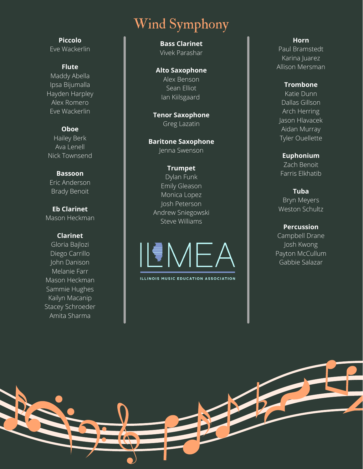# Wi n d S y m p h o n y

Eve Wackerlin

#### **F l u t e**

**P i c c o l o**

M a d d y A b ella Ipsa Bijumalla Hayden Harple y Alex Romero Eve Wackerlin

#### **O b o e**

H aile y B e r k Ava Lenell Nick Townse n d

#### **B a s s o o n**

Eric Anderson B r a d y B e n oit

**Eb** Clarinet Mason Heckman

#### **C l a r i n e t**

Glo ria B a jlo zi Diego Carrillo John Danison Melanie Farr Mason Heckma n S a m mie H u g h e s Kailyn Macanip Stacey Schroeder A mit a S h a r m a

**Bass Clarinet** Vivek Parashar

### **A l t o S a x o p h o n e**

Alex Benson S e a n Ellio t Ian Kiilsgaar d

**T e n o r S a x o p h o n e** Greg Lazatin

**Baritone Saxophone** Jenna Swenson

#### **T r u m p e t** Dylan Funk

E mily Gle a s o n Monica Lopez Josh Peterson Andrew Sniegowski Steve Williams



ILLINOIS MUSIC EDUCATION ASSOCIATION

#### **H o r n**

Paul Bramstedt Karina Juarez Allison Mersman

#### **T r o m b o n e**

Katie Dunn D alla s Gills o n Arch Herring Jason Hlavacek Aidan Murray Tyler Ouellette

**E u p h o n i u m**

Z a c h B e n oit Farris Elkhatib

**T u b a** Bryn Meyers Weston Schultz

#### **Percussion**

Campbell Drane Josh Kwong Payton McCullum G a b bie S ala z a r

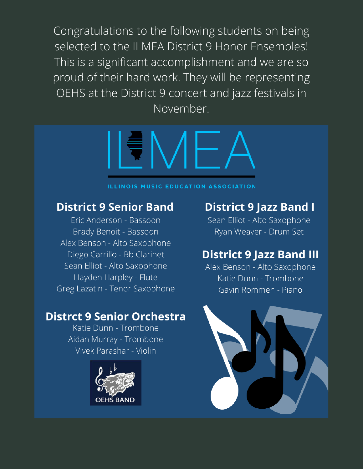Congratulations to the following students on being selected to the ILMEA District 9 Honor Ensembles! This is a significant accomplishment and we are so proud of their hard work. They will be representing OEHS at the District 9 concert and jazz festivals in November.



#### **ILLINOIS MUSIC EDUCATION ASSOCIATION**

## **District 9 Senior Band**

Eric Anderson - Bassoon Brady Benoit - Bassoon Alex Benson - Alto Saxophone Diego Carrillo - Bb Clarinet Sean Elliot - Alto Saxophone Hayden Harpley - Flute Greg Lazatin - Tenor Saxophone

## **Distrct 9 Senior Orchestra**

Katie Dunn - Trombone Aidan Murray - Trombone Vivek Parashar - Violin



## **District 9 Jazz Band I**

Sean Elliot - Alto Saxophone Ryan Weaver - Drum Set

## **District 9 Jazz Band III**

Alex Benson - Alto Saxophone Katie Dunn - Trombone Gavin Rommen - Piano